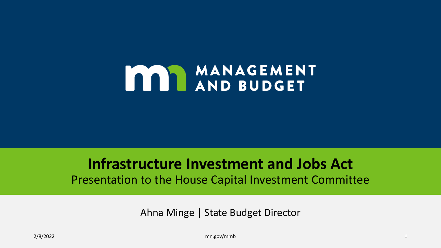# MANAGEMENT

#### **Infrastructure Investment and Jobs Act**  Presentation to the House Capital Investment Committee

Ahna Minge | State Budget Director

2/8/2022 mn.gov/mmb 1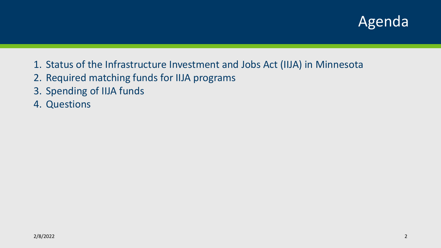#### Agenda

- 1. Status of the Infrastructure Investment and Jobs Act (IIJA) in Minnesota
- 2. Required matching funds for IIJA programs
- 3. Spending of IIJA funds
- 4. Questions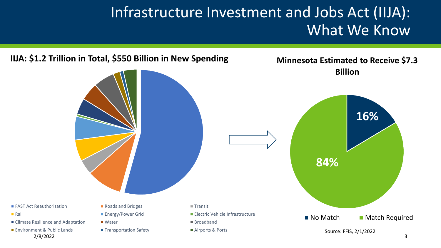### Infrastructure Investment and Jobs Act (IIJA): What We Know

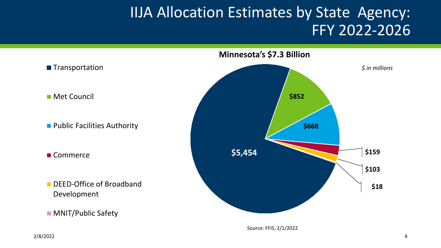#### **IIJA Allocation Estimates by State Agency:** FFY 2022-2026



Source: FFIS, 2/1/2022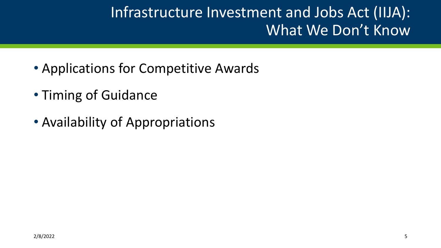# Infrastructure Investment and Jobs Act (IIJA): What We Don't Know

- Applications for Competitive Awards
- Timing of Guidance
- Availability of Appropriations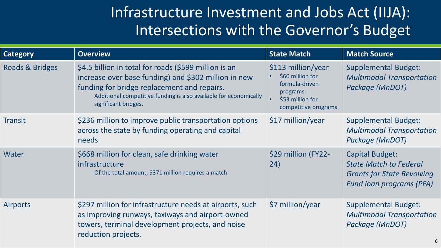## Infrastructure Investment and Jobs Act (IIJA): Intersections with the Governor's Budget

| <b>Category</b> | <b>Overview</b>                                                                                                                                                                                                                                           | <b>State Match</b>                                                                                               | <b>Match Source</b>                                                                                                             |
|-----------------|-----------------------------------------------------------------------------------------------------------------------------------------------------------------------------------------------------------------------------------------------------------|------------------------------------------------------------------------------------------------------------------|---------------------------------------------------------------------------------------------------------------------------------|
| Roads & Bridges | \$4.5 billion in total for roads (\$599 million is an<br>increase over base funding) and \$302 million in new<br>funding for bridge replacement and repairs.<br>Additional competitive funding is also available for economically<br>significant bridges. | \$113 million/year<br>\$60 million for<br>formula-driven<br>programs<br>\$53 million for<br>competitive programs | <b>Supplemental Budget:</b><br><b>Multimodal Transportation</b><br>Package (MnDOT)                                              |
| <b>Transit</b>  | \$236 million to improve public transportation options<br>across the state by funding operating and capital<br>needs.                                                                                                                                     | $$17$ million/year                                                                                               | <b>Supplemental Budget:</b><br><b>Multimodal Transportation</b><br>Package (MnDOT)                                              |
| Water           | \$668 million for clean, safe drinking water<br>infrastructure<br>Of the total amount, \$371 million requires a match                                                                                                                                     | \$29 million (FY22-<br>(24)                                                                                      | <b>Capital Budget:</b><br><b>State Match to Federal</b><br><b>Grants for State Revolving</b><br><b>Fund loan programs (PFA)</b> |
| <b>Airports</b> | \$297 million for infrastructure needs at airports, such<br>as improving runways, taxiways and airport-owned<br>towers, terminal development projects, and noise<br>reduction projects.                                                                   | \$7 million/year                                                                                                 | <b>Supplemental Budget:</b><br><b>Multimodal Transportation</b><br>Package (MnDOT)                                              |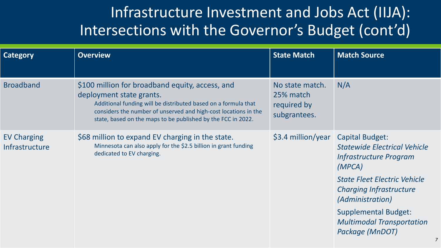# Infrastructure Investment and Jobs Act (IIJA): Intersections with the Governor's Budget (cont'd)

| <b>Category</b>                      | <b>Overview</b>                                                                                                                                                                                                                                                                  | <b>State Match</b>                                          | <b>Match Source</b>                                                                              |
|--------------------------------------|----------------------------------------------------------------------------------------------------------------------------------------------------------------------------------------------------------------------------------------------------------------------------------|-------------------------------------------------------------|--------------------------------------------------------------------------------------------------|
| <b>Broadband</b>                     | \$100 million for broadband equity, access, and<br>deployment state grants.<br>Additional funding will be distributed based on a formula that<br>considers the number of unserved and high-cost locations in the<br>state, based on the maps to be published by the FCC in 2022. | No state match.<br>25% match<br>required by<br>subgrantees. | N/A                                                                                              |
| <b>EV Charging</b><br>Infrastructure | \$68 million to expand EV charging in the state.<br>Minnesota can also apply for the \$2.5 billion in grant funding<br>dedicated to EV charging.                                                                                                                                 | \$3.4 million/year                                          | Capital Budget:<br><b>Statewide Electrical Vehicle</b><br>Infrastructure Program<br>(MPCA)       |
|                                      |                                                                                                                                                                                                                                                                                  |                                                             | <b>State Fleet Electric Vehicle</b><br><b>Charging Infrastructure</b><br><i>(Administration)</i> |
|                                      |                                                                                                                                                                                                                                                                                  |                                                             | <b>Supplemental Budget:</b><br><b>Multimodal Transportation</b><br>Package (MnDOT)               |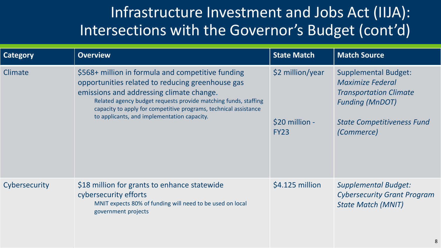# Infrastructure Investment and Jobs Act (IIJA): Intersections with the Governor's Budget (cont'd)

| <b>Category</b> | <b>Overview</b>                                                                                                                                                                                                                                                                                                                         | <b>State Match</b>                                | <b>Match Source</b>                                                                                                                                           |
|-----------------|-----------------------------------------------------------------------------------------------------------------------------------------------------------------------------------------------------------------------------------------------------------------------------------------------------------------------------------------|---------------------------------------------------|---------------------------------------------------------------------------------------------------------------------------------------------------------------|
| Climate         | \$568+ million in formula and competitive funding<br>opportunities related to reducing greenhouse gas<br>emissions and addressing climate change.<br>Related agency budget requests provide matching funds, staffing<br>capacity to apply for competitive programs, technical assistance<br>to applicants, and implementation capacity. | \$2 million/year<br>\$20 million -<br><b>FY23</b> | <b>Supplemental Budget:</b><br>Maximize Federal<br><b>Transportation Climate</b><br><b>Funding (MnDOT)</b><br><b>State Competitiveness Fund</b><br>(Commerce) |
| Cybersecurity   | \$18 million for grants to enhance statewide<br>cybersecurity efforts<br>MNIT expects 80% of funding will need to be used on local<br>government projects                                                                                                                                                                               | $$4.125$ million                                  | <b>Supplemental Budget:</b><br><b>Cybersecurity Grant Program</b><br><b>State Match (MNIT)</b>                                                                |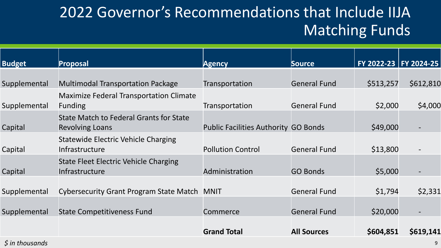# 2022 Governor's Recommendations that Include IIJA Matching Funds

| <b>Budget</b> | Proposal                                                                 | <b>Agency</b>                               | <b>Source</b>       | FY 2022-23   FY 2024-25 |           |
|---------------|--------------------------------------------------------------------------|---------------------------------------------|---------------------|-------------------------|-----------|
|               |                                                                          |                                             |                     |                         |           |
| Supplemental  | <b>Multimodal Transportation Package</b>                                 | Transportation                              | <b>General Fund</b> | \$513,257               | \$612,810 |
| Supplemental  | <b>Maximize Federal Transportation Climate</b><br><b>Funding</b>         | Transportation                              | <b>General Fund</b> | \$2,000                 | \$4,000   |
| Capital       | <b>State Match to Federal Grants for State</b><br><b>Revolving Loans</b> | <b>Public Facilities Authority GO Bonds</b> |                     | \$49,000                |           |
| Capital       | <b>Statewide Electric Vehicle Charging</b><br>Infrastructure             | <b>Pollution Control</b>                    | <b>General Fund</b> | \$13,800                |           |
| Capital       | State Fleet Electric Vehicle Charging<br>Infrastructure                  | Administration                              | <b>GO Bonds</b>     | \$5,000                 |           |
| Supplemental  | <b>Cybersecurity Grant Program State Match</b>                           | <b>MNIT</b>                                 | <b>General Fund</b> | \$1,794                 | \$2,331   |
| Supplemental  | <b>State Competitiveness Fund</b>                                        | Commerce                                    | <b>General Fund</b> | \$20,000                |           |
|               |                                                                          | <b>Grand Total</b>                          | <b>All Sources</b>  | \$604,851               | \$619,141 |

*\$ in thousands* 9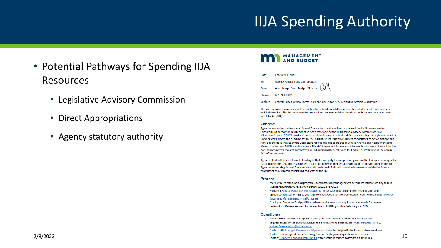### IIJA Spending Authority

- Potential Pathways for Spending IIJA Resources
	- Legislative Advisory Commission
	- Direct Appropriations
	- Agency statutory authority

#### MANAGEMENT

- Date: February 1, 2022
- To: **Agency Federal Fund Coordinators**
- Ahna Minge, State Budget Director From:
- 651-201-8032 **Phone:**
- Subject: Federal Funds Review Forms Due February 25 for 2022 Legislative Session Submission

This memo provides agencies with a timeline for submitting additional or anticipated federal funds needing legislative review. This includes both formula-driven and competitive awards in the Infrastructure Investment and Jobs Act (IIJA).

#### Context

Agencies are authorized to spend federal funds after they have been submitted by the Governor to the Legislature as part of the budget or have been reviewed by the Legislature Advisory Commission (LAC). Minnesota Statute 3.3005 provides that federal funds may be submitted for review during the legislative session up to 20 days before the deadline set by the legislature for legislative budget committees to act on finance bills. April 8 is the deadline set by the Legislature for finance bills to be out of Senate Finance and House Ways and Means committees. MMB is anticipating a March 14 session submission for federal funds review. This will be the only opportunity to request authority to spend additional federal funds for FY2022 or FY2023 until the annual fall LAC submission.

Agencies that will receive formula funding or that may apply for competitive grants in the IIJA are encouraged to participate in this LAC process in order to facilitate timely implementation of the programs included in the bill. Agencies submitting federal funds received through the IIJA should consult with relevant legislative finance chairs prior to MMB communicating requests to the LAC.

#### **Process**

- Work with federal fund and program coordinators in your agency to determine if there are any federal awards requiring LAC review for either FY2022 or FY2023
- . Prepare a Federal Funds Review Request form for each federal fund item needing approval
- . Upload completed form(s) to your agency's LAC/2022 Session Submission folder on the Budget Division **Document Management SharePoint site**
- . Email your Executive Budget Officer when the documents are uploaded and ready for review
- . Federal fund Review Request forms are due to MMB by Friday, February 25, 2022

#### **Questions?**

- Federal Funds Review and Approval Policy and other information on the MMB website
- . Request access to the Budget Division SharePoint site by emailing an Access Request Form to budget.finance.mmb@state.mn.us
- Contact MMB Budget Planning and Operations team for help with the form or SharePoint site
- $2/8/2022$  and the UNA contact Vour assigned Executive Budget officer with general questions or assistance<br>Contact Elizabeth.Connor@state.mn.us with questions related to programs in the IUA contact of the UNA contact  $\alpha$ 
	-